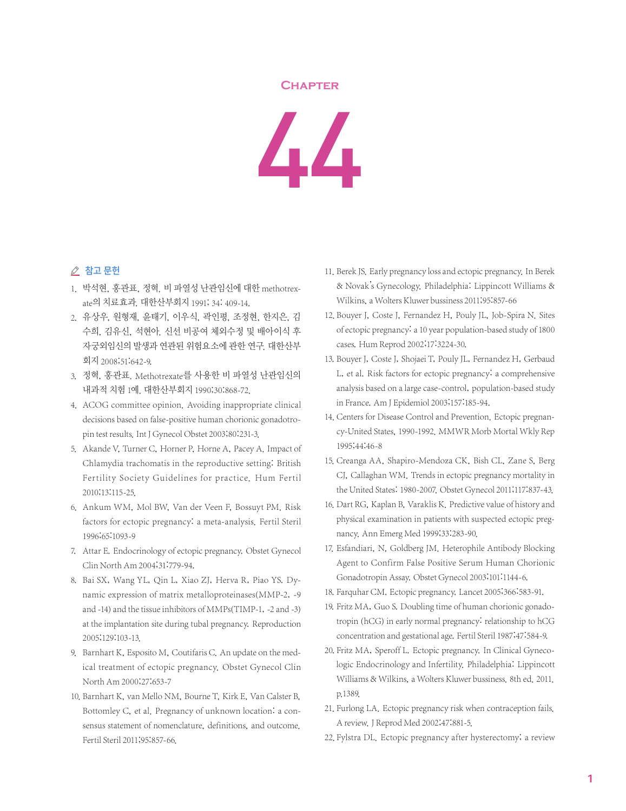## **Chapter**



## ⊘ 참고 문헌

- 1. 박석현, 홍관표, 정혁. 비 파열성 난관임신에 대한 methotrexate의 치료효과. 대한산부회지 1991; 34: 409-14.
- 2. 유상우, 원형재, 윤태기, 이우식, 곽인평, 조정현, 한지은, 김 수희, 김유신, 석현아. 신선 비공여 체외수정 및 배아이식 후 자궁외임신의 발생과 연관된 위험요소에 관한 연구. 대한산부 회지 2008;51:642-9.
- 3. 정혁, 홍관표. Methotrexate를 사용한 비 파열성 난관임신의 내과적 치험 1예. 대한산부회지 1990;30:868-72.
- 4. ACOG committee opinion. Avoiding inappropriate clinical decisions based on false-positive human chorionic gonadotropin test results. Int J Gynecol Obstet 2003;80:231-3.
- 5. Akande V, Turner C, Horner P, Horne A, Pacey A, Impact of Chlamydia trachomatis in the reproductive setting: British Fertility Society Guidelines for practice. Hum Fertil 2010;13:115-25.
- 6. Ankum WM, Mol BW, Van der Veen F, Bossuyt PM. Risk factors for ectopic pregnancy: a meta-analysis. Fertil Steril 1996;65:1093-9
- 7. Attar E. Endocrinology of ectopic pregnancy. Obstet Gynecol Clin North Am 2004;31:779-94.
- 8. Bai SX, Wang YL, Qin L, Xiao ZJ, Herva R, Piao YS. Dynamic expression of matrix metalloproteinases(MMP-2, -9 and -14) and the tissue inhibitors of MMPs(TIMP-1, -2 and -3) at the implantation site during tubal pregnancy. Reproduction 2005;129:103-13.
- 9. Barnhart K, Esposito M, Coutifaris C. An update on the medical treatment of ectopic pregnancy. Obstet Gynecol Clin North Am 2000;27:653-7
- 10. Barnhart K, van Mello NM, Bourne T, Kirk E, Van Calster B, Bottomley C, et al. Pregnancy of unknown location: a consensus statement of nomenclature, definitions, and outcome. Fertil Steril 2011;95:857-66.
- 11. Berek JS. Early pregnancy loss and ectopic pregnancy. In Berek & Novak's Gynecology. Philadelphia: Lippincott Williams & Wilkins, a Wolters Kluwer bussiness 2011;95:857-66
- 12. Bouyer J, Coste J, Fernandez H, Pouly JL, Job-Spira N, Sites of ectopic pregnancy: a 10 year population-based study of 1800 cases. Hum Reprod 2002;17:3224-30.
- 13. Bouyer J, Coste J, Shojaei T, Pouly JL, Fernandez H, Gerbaud L, et al. Risk factors for ectopic pregnancy: a comprehensive analysis based on a large case-control, population-based study in France. Am J Epidemiol 2003;157:185-94.
- 14. Centers for Disease Control and Prevention. Ectopic pregnancy-United States, 1990-1992. MMWR Morb Mortal Wkly Rep 1995;44:46-8
- 15. Creanga AA, Shapiro-Mendoza CK, Bish CL, Zane S, Berg CJ, Callaghan WM. Trends in ectopic pregnancy mortality in the United States: 1980-2007. Obstet Gynecol 2011;117:837-43.
- 16. Dart RG, Kaplan B, Varaklis K. Predictive value of history and physical examination in patients with suspected ectopic pregnancy. Ann Emerg Med 1999;33:283-90.
- 17. Esfandiari, N, Goldberg JM. Heterophile Antibody Blocking Agent to Confirm False Positive Serum Human Chorionic Gonadotropin Assay. Obstet Gynecol 2003;101:1144-6.
- 18. Farquhar CM. Ectopic pregnancy. Lancet 2005;366:583-91.
- 19. Fritz MA, Guo S. Doubling time of human chorionic gonadotropin (hCG) in early normal pregnancy: relationship to hCG concentration and gestational age. Fertil Steril 1987;47:584-9.
- 20. Fritz MA, Speroff L. Ectopic pregnancy. In Clinical Gynecologic Endocrinology and Infertility. Philadelphia: Lippincott Williams & Wilkins, a Wolters Kluwer bussiness. 8th ed. 2011. p.1389.
- 21. Furlong LA. Ectopic pregnancy risk when contraception fails. A review.J Reprod Med 2002;47:881-5.
- 22. Fylstra DL. Ectopic pregnancy after hysterectomy; a review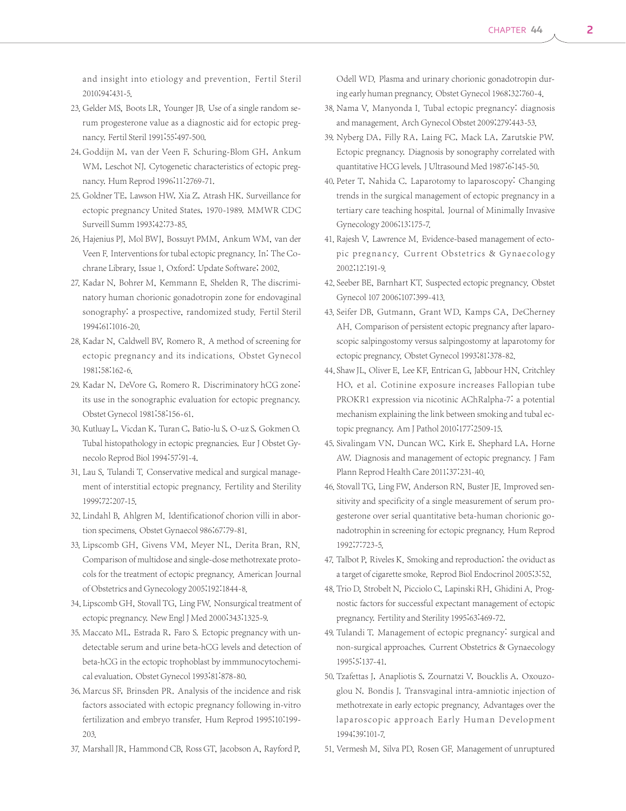and insight into etiology and prevention. Fertil Steril 2010;94:431-5.

- 23. Gelder MS, Boots LR, Younger JB. Use of a single random serum progesterone value as a diagnostic aid for ectopic pregnancy. Fertil Steril 1991;55:497-500.
- 24. Goddijn M, van der Veen F, Schuring-Blom GH, Ankum WM, Leschot NJ. Cytogenetic characteristics of ectopic pregnancy. Hum Reprod 1996;11:2769-71.
- 25. Goldner TE, Lawson HW, Xia Z, Atrash HK. Surveillance for ectopic pregnancy United States, 1970-1989. MMWR CDC Surveill Summ 1993;42:73-85.
- 26. Hajenius PJ, Mol BWJ, Bossuyt PMM, Ankum WM, van der Veen F. Interventions for tubal ectopic pregnancy. In: The Cochrane Library, Issue 1, Oxford: Update Software; 2002.
- 27. Kadar N, Bohrer M, Kemmann E, Shelden R. The discriminatory human chorionic gonadotropin zone for endovaginal sonography: a prospective, randomized study. Fertil Steril 1994;61:1016-20.
- 28. Kadar N, Caldwell BV, Romero R. A method of screening for ectopic pregnancy and its indications. Obstet Gynecol 1981;58:162-6.
- 29. Kadar N, DeVore G, Romero R. Discriminatory hCG zone: its use in the sonographic evaluation for ectopic pregnancy. Obstet Gynecol 1981;58:156-61.
- 30. Kutluay L, Vicdan K, Turan C, Batio-lu S, O-uz S, Gokmen O. Tubal histopathology in ectopic pregnancies. Eur J Obstet Gynecolo Reprod Biol 1994:57:91-4.
- 31. Lau S, Tulandi T. Conservative medical and surgical management of interstitial ectopic pregnancy. Fertility and Sterility 1999;72:207-15.
- 32. Lindahl B, Ahlgren M. Identificationof chorion villi in abortion specimens. Obstet Gynaecol 986;67:79-81.
- 33. Lipscomb GH, Givens VM, Meyer NL, Derita Bran, RN. Comparison of multidose and single-dose methotrexate protocols for the treatment of ectopic pregnancy. American Journal of Obstetrics and Gynecology 2005;192:1844-8.
- 34. Lipscomb GH, Stovall TG, Ling FW. Nonsurgical treatment of ectopic pregnancy. New Engl J Med 2000;343:1325-9.
- 35. Maccato ML, Estrada R, Faro S. Ectopic pregnancy with undetectable serum and urine beta-hCG levels and detection of beta-hCG in the ectopic trophoblast by immmunocytochemical evaluation. Obstet Gynecol 1993;81:878-80.
- 36. Marcus SF, Brinsden PR. Analysis of the incidence and risk factors associated with ectopic pregnancy following in-vitro fertilization and embryo transfer. Hum Reprod 1995;10:199- 203.
- 37. Marshall JR, Hammond CB, Ross GT, Jacobson A, Rayford P,

Odell WD. Plasma and urinary chorionic gonadotropin during early human pregnancy. Obstet Gynecol 1968;32:760-4.

- 38. Nama V, Manyonda I. Tubal ectopic pregnancy: diagnosis and management. Arch Gynecol Obstet 2009;279:443-53.
- 39. Nyberg DA, Filly RA, Laing FC, Mack LA, Zarutskie PW. Ectopic pregnancy. Diagnosis by sonography correlated with quantitative HCG levels. J Ultrasound Med 1987;6:145-50.
- 40. Peter T, Nahida C. Laparotomy to laparoscopy: Changing trends in the surgical management of ectopic pregnancy in a tertiary care teaching hospital. Journal of Minimally Invasive Gynecology 2006;13:175-7.
- 41. Rajesh V, Lawrence M, Evidence-based management of ectopic pregnancy. Current Obstetrics & Gynaecology 2002;12:191-9.
- 42. Seeber BE, Barnhart KT. Suspected ectopic pregnancy. Obstet Gynecol 107 2006;107:399-413.
- 43. Seifer DB, Gutmann, Grant WD, Kamps CA, DeCherney AH. Comparison of persistent ectopic pregnancy after laparoscopic salpingostomy versus salpingostomy at laparotomy for ectopic pregnancy. Obstet Gynecol 1993;81:378-82.
- 44. Shaw JL, Oliver E, Lee KF, Entrican G, Jabbour HN, Critchley HO, et al. Cotinine exposure increases Fallopian tube PROKR1 expression via nicotinic AChRalpha-7: a potential mechanism explaining the link between smoking and tubal ectopic pregnancy. Am J Pathol 2010;177:2509-15.
- 45. Sivalingam VN, Duncan WC, Kirk E, Shephard LA, Horne AW. Diagnosis and management of ectopic pregnancy. J Fam Plann Reprod Health Care 2011;37:231-40.
- 46. Stovall TG, Ling FW, Anderson RN, Buster JE. Improved sensitivity and specificity of a single measurement of serum progesterone over serial quantitative beta-human chorionic gonadotrophin in screening for ectopic pregnancy. Hum Reprod 1992;7:723-5.
- 47. Talbot P, Riveles K. Smoking and reproduction: the oviduct as a target of cigarette smoke. Reprod Biol Endocrinol 2005;3:52.
- 48. Trio D, Strobelt N, Picciolo C, Lapinski RH, Ghidini A. Prognostic factors for successful expectant management of ectopic pregnancy. Fertility and Sterility 1995;63:469-72.
- 49. Tulandi T. Management of ectopic pregnancy: surgical and non-surgical approaches. Current Obstetrics & Gynaecology 1995;5:137-41.
- 50. Tzafettas J, Anapliotis S, Zournatzi V, Boucklis A. Oxouzoglou N. Bondis J. Transvaginal intra-amniotic injection of methotrexate in early ectopic pregnancy. Advantages over the laparoscopic approach Early Human Development 1994;39:101-7.
- 51. Vermesh M, Silva PD, Rosen GF. Management of unruptured